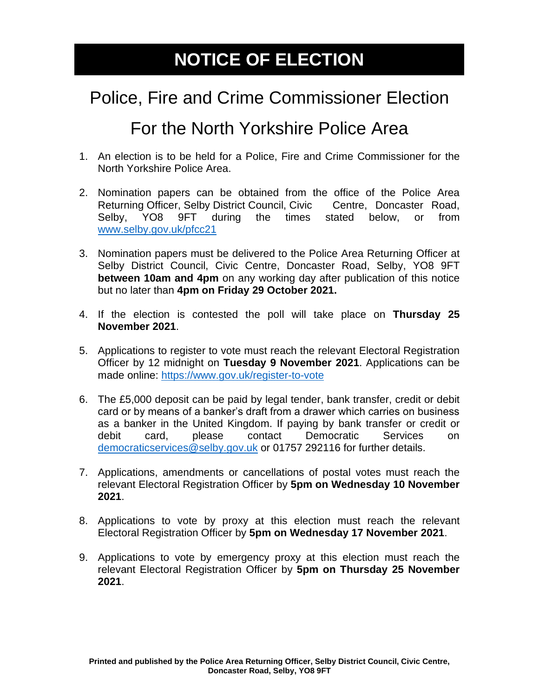## **NOTICE OF ELECTION**

## Police, Fire and Crime Commissioner Election

## For the North Yorkshire Police Area

- 1. An election is to be held for a Police, Fire and Crime Commissioner for the North Yorkshire Police Area.
- 2. Nomination papers can be obtained from the office of the Police Area Returning Officer, Selby District Council, Civic Centre, Doncaster Road, Selby, YO8 9FT during the times stated below, or from [www.selby.gov.uk/pfcc21](http://www.selby.gov.uk/pfcc21)
- 3. Nomination papers must be delivered to the Police Area Returning Officer at Selby District Council, Civic Centre, Doncaster Road, Selby, YO8 9FT **between 10am and 4pm** on any working day after publication of this notice but no later than **4pm on Friday 29 October 2021.**
- 4. If the election is contested the poll will take place on **Thursday 25 November 2021**.
- 5. Applications to register to vote must reach the relevant Electoral Registration Officer by 12 midnight on **Tuesday 9 November 2021**. Applications can be made online:<https://www.gov.uk/register-to-vote>
- 6. The £5,000 deposit can be paid by legal tender, bank transfer, credit or debit card or by means of a banker's draft from a drawer which carries on business as a banker in the United Kingdom. If paying by bank transfer or credit or debit card, please contact Democratic Services on [democraticservices@selby.gov.uk](mailto:democraticservices@selby.gov.uk) or 01757 292116 for further details.
- 7. Applications, amendments or cancellations of postal votes must reach the relevant Electoral Registration Officer by **5pm on Wednesday 10 November 2021**.
- 8. Applications to vote by proxy at this election must reach the relevant Electoral Registration Officer by **5pm on Wednesday 17 November 2021**.
- 9. Applications to vote by emergency proxy at this election must reach the relevant Electoral Registration Officer by **5pm on Thursday 25 November 2021**.